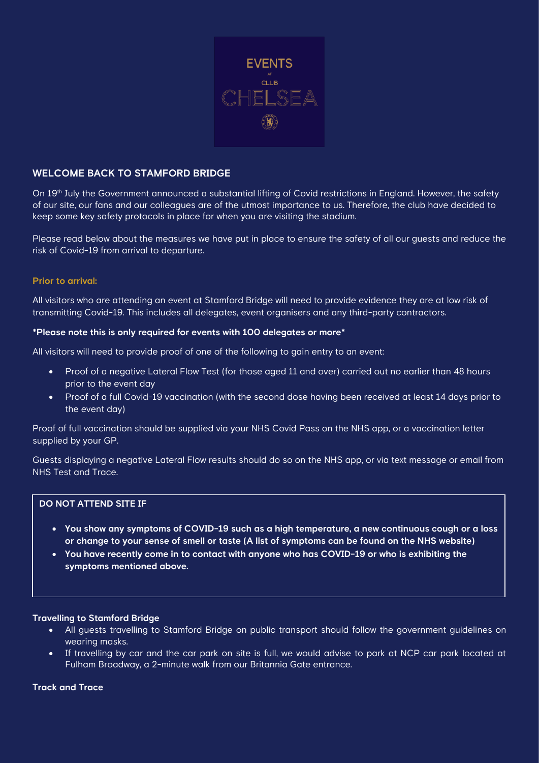

# **WELCOME BACK TO STAMFORD BRIDGE**

On 19<sup>th</sup> July the Government announced a substantial lifting of Covid restrictions in England. However, the safety of our site, our fans and our colleagues are of the utmost importance to us. Therefore, the club have decided to keep some key safety protocols in place for when you are visiting the stadium.

Please read below about the measures we have put in place to ensure the safety of all our guests and reduce the risk of Covid-19 from arrival to departure.

### **Prior to arrival:**

All visitors who are attending an event at Stamford Bridge will need to provide evidence they are at low risk of transmitting Covid-19. This includes all delegates, event organisers and any third-party contractors.

### **\*Please note this is only required for events with 100 delegates or more\***

All visitors will need to provide proof of one of the following to gain entry to an event:

- Proof of a negative Lateral Flow Test (for those aged 11 and over) carried out no earlier than 48 hours prior to the event day
- Proof of a full Covid-19 vaccination (with the second dose having been received at least 14 days prior to the event day)

Proof of full vaccination should be supplied via your NHS Covid Pass on the NHS app, or a vaccination letter supplied by your GP.

Guests displaying a negative Lateral Flow results should do so on the NHS app, or via text message or email from NHS Test and Trace.

# **DO NOT ATTEND SITE IF**

- **You show any symptoms of COVID-19 such as a high temperature, a new continuous cough or a loss or change to your sense of smell or taste (A list of symptoms can be found on the NHS website)**
- **You have recently come in to contact with anyone who has COVID-19 or who is exhibiting the symptoms mentioned above.**

### **Travelling to Stamford Bridge**

- All guests travelling to Stamford Bridge on public transport should follow the government guidelines on wearing masks.
- If travelling by car and the car park on site is full, we would advise to park at NCP car park located at Fulham Broadway, a 2-minute walk from our Britannia Gate entrance.

### **Track and Trace**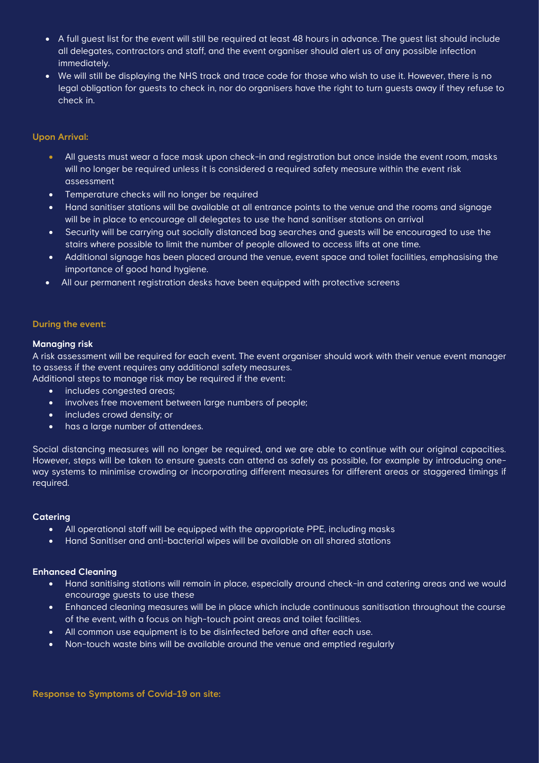- A full guest list for the event will still be required at least 48 hours in advance. The guest list should include all delegates, contractors and staff, and the event organiser should alert us of any possible infection immediately.
- We will still be displaying the NHS track and trace code for those who wish to use it. However, there is no legal obligation for guests to check in, nor do organisers have the right to turn guests away if they refuse to check in.

## **Upon Arrival:**

- All guests must wear a face mask upon check-in and registration but once inside the event room, masks will no longer be required unless it is considered a required safety measure within the event risk assessment
- Temperature checks will no longer be required
- Hand sanitiser stations will be available at all entrance points to the venue and the rooms and signage will be in place to encourage all delegates to use the hand sanitiser stations on arrival
- Security will be carrying out socially distanced bag searches and guests will be encouraged to use the stairs where possible to limit the number of people allowed to access lifts at one time.
- Additional signage has been placed around the venue, event space and toilet facilities, emphasising the importance of good hand hygiene.
- All our permanent registration desks have been equipped with protective screens

## **During the event:**

### **Managing risk**

A risk assessment will be required for each event. The event organiser should work with their venue event manager to assess if the event requires any additional safety measures.

- Additional steps to manage risk may be required if the event:
	- includes congested areas;
	- involves free movement between large numbers of people;
	- includes crowd density; or
	- has a large number of attendees.

Social distancing measures will no longer be required, and we are able to continue with our original capacities. However, steps will be taken to ensure guests can attend as safely as possible, for example by introducing oneway systems to minimise crowding or incorporating different measures for different areas or staggered timings if required.

### **Catering**

- All operational staff will be equipped with the appropriate PPE, including masks
- Hand Sanitiser and anti-bacterial wipes will be available on all shared stations

### **Enhanced Cleaning**

- Hand sanitising stations will remain in place, especially around check-in and catering areas and we would encourage guests to use these
- Enhanced cleaning measures will be in place which include continuous sanitisation throughout the course of the event, with a focus on high-touch point areas and toilet facilities.
- All common use equipment is to be disinfected before and after each use.
- Non-touch waste bins will be available around the venue and emptied regularly